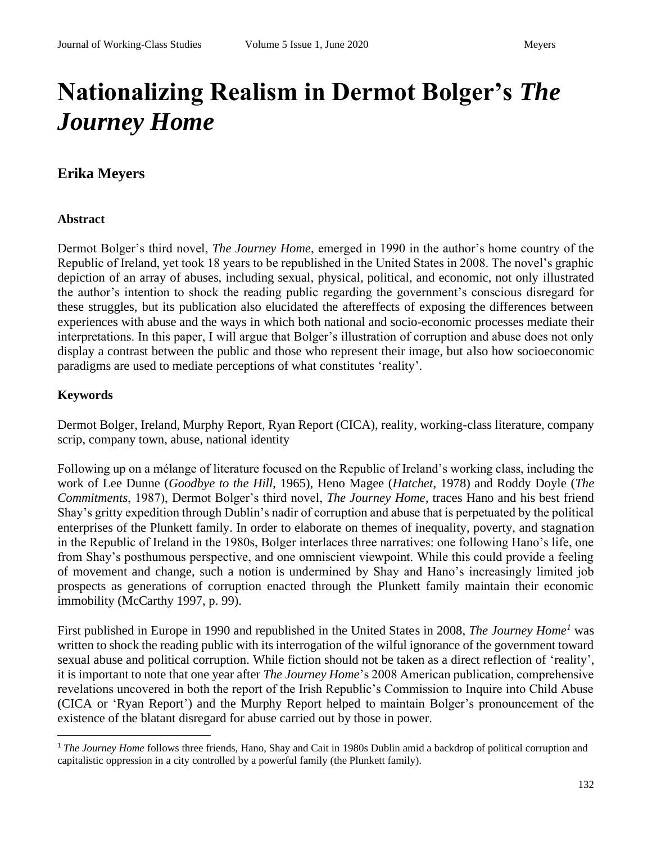# **Nationalizing Realism in Dermot Bolger's** *The Journey Home*

# **Erika Meyers**

#### **Abstract**

Dermot Bolger's third novel, *The Journey Home*, emerged in 1990 in the author's home country of the Republic of Ireland, yet took 18 years to be republished in the United States in 2008. The novel's graphic depiction of an array of abuses, including sexual, physical, political, and economic, not only illustrated the author's intention to shock the reading public regarding the government's conscious disregard for these struggles, but its publication also elucidated the aftereffects of exposing the differences between experiences with abuse and the ways in which both national and socio-economic processes mediate their interpretations. In this paper, I will argue that Bolger's illustration of corruption and abuse does not only display a contrast between the public and those who represent their image, but also how socioeconomic paradigms are used to mediate perceptions of what constitutes 'reality'.

### **Keywords**

Dermot Bolger, Ireland, Murphy Report, Ryan Report (CICA), reality, working-class literature, company scrip, company town, abuse, national identity

Following up on a mélange of literature focused on the Republic of Ireland's working class, including the work of Lee Dunne (*Goodbye to the Hill*, 1965), Heno Magee (*Hatchet*, 1978) and Roddy Doyle (*The Commitments*, 1987), Dermot Bolger's third novel, *The Journey Home*, traces Hano and his best friend Shay's gritty expedition through Dublin's nadir of corruption and abuse that is perpetuated by the political enterprises of the Plunkett family. In order to elaborate on themes of inequality, poverty, and stagnation in the Republic of Ireland in the 1980s, Bolger interlaces three narratives: one following Hano's life, one from Shay's posthumous perspective, and one omniscient viewpoint. While this could provide a feeling of movement and change, such a notion is undermined by Shay and Hano's increasingly limited job prospects as generations of corruption enacted through the Plunkett family maintain their economic immobility (McCarthy 1997, p. 99).

First published in Europe in 1990 and republished in the United States in 2008, *The Journey Home<sup>1</sup>* was written to shock the reading public with its interrogation of the wilful ignorance of the government toward sexual abuse and political corruption. While fiction should not be taken as a direct reflection of 'reality', it is important to note that one year after *The Journey Home*'s 2008 American publication, comprehensive revelations uncovered in both the report of the Irish Republic's Commission to Inquire into Child Abuse (CICA or 'Ryan Report') and the Murphy Report helped to maintain Bolger's pronouncement of the existence of the blatant disregard for abuse carried out by those in power.

<sup>1</sup> *The Journey Home* follows three friends, Hano, Shay and Cait in 1980s Dublin amid a backdrop of political corruption and capitalistic oppression in a city controlled by a powerful family (the Plunkett family).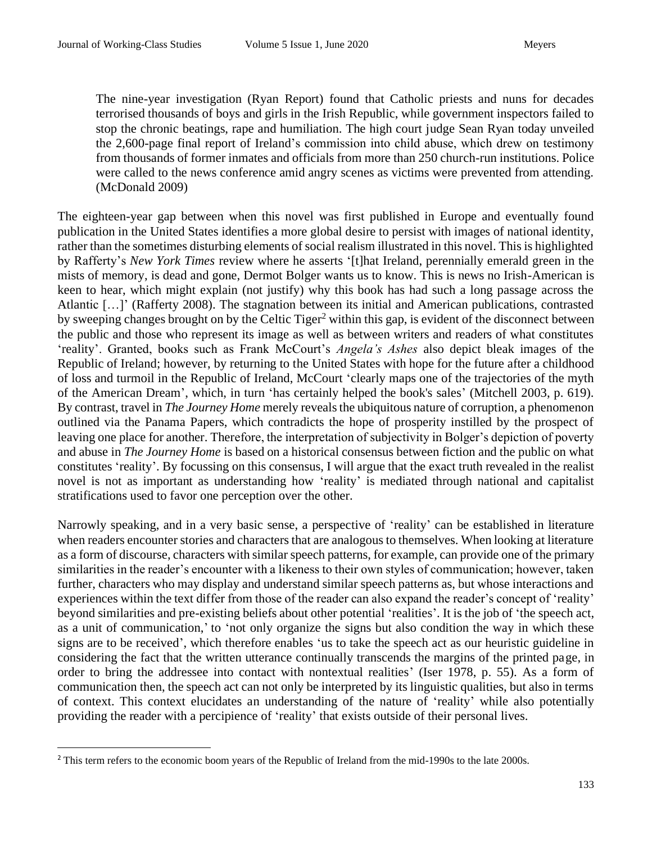The nine-year investigation (Ryan Report) found that Catholic priests and nuns for decades terrorised thousands of boys and girls in the Irish Republic, while government inspectors failed to stop the chronic beatings, rape and humiliation. The high court judge Sean Ryan today unveiled the 2,600-page [final report](about:blank) of [Ireland'](about:blank)s commission into child abuse, which drew on testimony from thousands of former inmates and officials from more than 250 church-run institutions. Police were called to the news conference amid angry scenes as victims were prevented from attending. (McDonald 2009)

The eighteen-year gap between when this novel was first published in Europe and eventually found publication in the United States identifies a more global desire to persist with images of national identity, rather than the sometimes disturbing elements of social realism illustrated in this novel. This is highlighted by Rafferty's *New York Times* review where he asserts '[t]hat Ireland, perennially emerald green in the mists of memory, is dead and gone, Dermot Bolger wants us to know. This is news no Irish-American is keen to hear, which might explain (not justify) why this book has had such a long passage across the Atlantic […]' (Rafferty 2008). The stagnation between its initial and American publications, contrasted by sweeping changes brought on by the Celtic Tiger<sup>2</sup> within this gap, is evident of the disconnect between the public and those who represent its image as well as between writers and readers of what constitutes 'reality'. Granted, books such as Frank McCourt's *Angela's Ashes* also depict bleak images of the Republic of Ireland; however, by returning to the United States with hope for the future after a childhood of loss and turmoil in the Republic of Ireland, McCourt 'clearly maps one of the trajectories of the myth of the American Dream', which, in turn 'has certainly helped the book's sales' (Mitchell 2003, p. 619). By contrast, travel in *The Journey Home* merely reveals the ubiquitous nature of corruption, a phenomenon outlined via the Panama Papers, which contradicts the hope of prosperity instilled by the prospect of leaving one place for another. Therefore, the interpretation of subjectivity in Bolger's depiction of poverty and abuse in *The Journey Home* is based on a historical consensus between fiction and the public on what constitutes 'reality'. By focussing on this consensus, I will argue that the exact truth revealed in the realist novel is not as important as understanding how 'reality' is mediated through national and capitalist stratifications used to favor one perception over the other.

Narrowly speaking, and in a very basic sense, a perspective of 'reality' can be established in literature when readers encounter stories and characters that are analogous to themselves. When looking at literature as a form of discourse, characters with similar speech patterns, for example, can provide one of the primary similarities in the reader's encounter with a likeness to their own styles of communication; however, taken further, characters who may display and understand similar speech patterns as, but whose interactions and experiences within the text differ from those of the reader can also expand the reader's concept of 'reality' beyond similarities and pre-existing beliefs about other potential 'realities'. It is the job of 'the speech act, as a unit of communication,' to 'not only organize the signs but also condition the way in which these signs are to be received', which therefore enables 'us to take the speech act as our heuristic guideline in considering the fact that the written utterance continually transcends the margins of the printed page, in order to bring the addressee into contact with nontextual realities' (Iser 1978, p. 55). As a form of communication then, the speech act can not only be interpreted by its linguistic qualities, but also in terms of context. This context elucidates an understanding of the nature of 'reality' while also potentially providing the reader with a percipience of 'reality' that exists outside of their personal lives.

<sup>&</sup>lt;sup>2</sup> This term refers to the economic boom years of the Republic of Ireland from the mid-1990s to the late 2000s.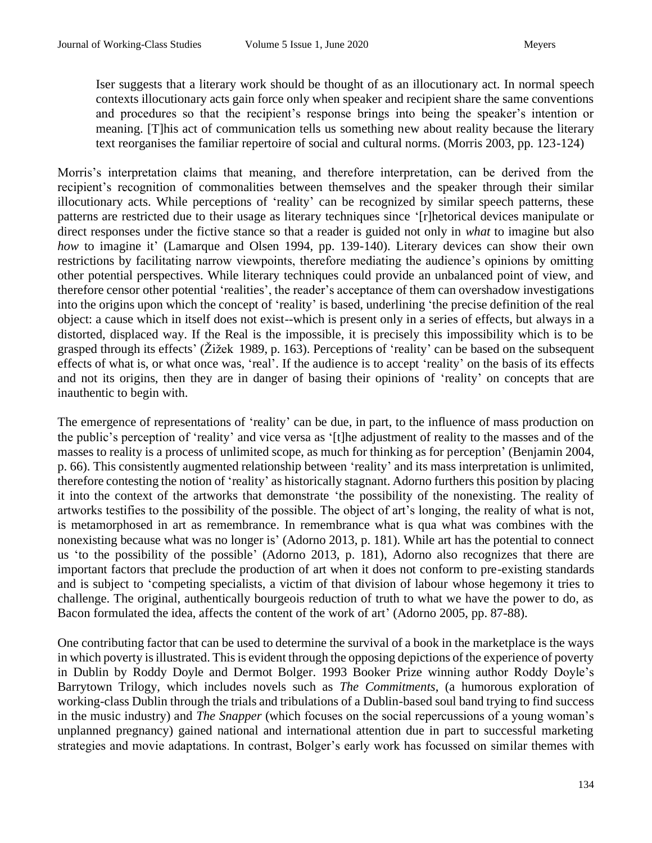Iser suggests that a literary work should be thought of as an illocutionary act. In normal speech contexts illocutionary acts gain force only when speaker and recipient share the same conventions and procedures so that the recipient's response brings into being the speaker's intention or meaning. [T]his act of communication tells us something new about reality because the literary text reorganises the familiar repertoire of social and cultural norms. (Morris 2003, pp. 123-124)

Morris's interpretation claims that meaning, and therefore interpretation, can be derived from the recipient's recognition of commonalities between themselves and the speaker through their similar illocutionary acts. While perceptions of 'reality' can be recognized by similar speech patterns, these patterns are restricted due to their usage as literary techniques since '[r]hetorical devices manipulate or direct responses under the fictive stance so that a reader is guided not only in *what* to imagine but also *how* to imagine it' (Lamarque and Olsen 1994, pp. 139-140). Literary devices can show their own restrictions by facilitating narrow viewpoints, therefore mediating the audience's opinions by omitting other potential perspectives. While literary techniques could provide an unbalanced point of view, and therefore censor other potential 'realities', the reader's acceptance of them can overshadow investigations into the origins upon which the concept of 'reality' is based, underlining 'the precise definition of the real object: a cause which in itself does not exist--which is present only in a series of effects, but always in a distorted, displaced way. If the Real is the impossible, it is precisely this impossibility which is to be grasped through its effects' (Žižek 1989, p. 163). Perceptions of 'reality' can be based on the subsequent effects of what is, or what once was, 'real'. If the audience is to accept 'reality' on the basis of its effects and not its origins, then they are in danger of basing their opinions of 'reality' on concepts that are inauthentic to begin with.

The emergence of representations of 'reality' can be due, in part, to the influence of mass production on the public's perception of 'reality' and vice versa as '[t]he adjustment of reality to the masses and of the masses to reality is a process of unlimited scope, as much for thinking as for perception' (Benjamin 2004, p. 66). This consistently augmented relationship between 'reality' and its mass interpretation is unlimited, therefore contesting the notion of 'reality' as historically stagnant. Adorno furthers this position by placing it into the context of the artworks that demonstrate 'the possibility of the nonexisting. The reality of artworks testifies to the possibility of the possible. The object of art's longing, the reality of what is not, is metamorphosed in art as remembrance. In remembrance what is qua what was combines with the nonexisting because what was no longer is' (Adorno 2013, p. 181). While art has the potential to connect us 'to the possibility of the possible' (Adorno 2013, p. 181), Adorno also recognizes that there are important factors that preclude the production of art when it does not conform to pre-existing standards and is subject to 'competing specialists, a victim of that division of labour whose hegemony it tries to challenge. The original, authentically bourgeois reduction of truth to what we have the power to do, as Bacon formulated the idea, affects the content of the work of art' (Adorno 2005, pp. 87-88).

One contributing factor that can be used to determine the survival of a book in the marketplace is the ways in which poverty is illustrated. This is evident through the opposing depictions of the experience of poverty in Dublin by Roddy Doyle and Dermot Bolger. 1993 Booker Prize winning author Roddy Doyle's Barrytown Trilogy, which includes novels such as *The Commitments*, (a humorous exploration of working-class Dublin through the trials and tribulations of a Dublin-based soul band trying to find success in the music industry) and *The Snapper* (which focuses on the social repercussions of a young woman's unplanned pregnancy) gained national and international attention due in part to successful marketing strategies and movie adaptations. In contrast, Bolger's early work has focussed on similar themes with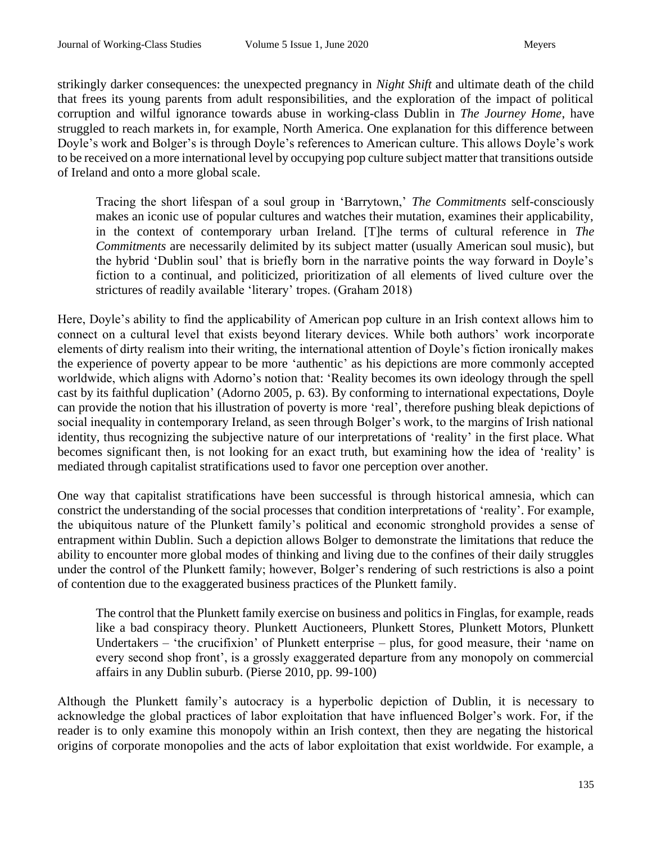strikingly darker consequences: the unexpected pregnancy in *Night Shift* and ultimate death of the child that frees its young parents from adult responsibilities, and the exploration of the impact of political corruption and wilful ignorance towards abuse in working-class Dublin in *The Journey Home*, have struggled to reach markets in, for example, North America. One explanation for this difference between Doyle's work and Bolger's is through Doyle's references to American culture. This allows Doyle's work to be received on a more international level by occupying pop culture subject matter that transitions outside of Ireland and onto a more global scale.

Tracing the short lifespan of a soul group in 'Barrytown,' *The Commitments* self-consciously makes an iconic use of popular cultures and watches their mutation, examines their applicability, in the context of contemporary urban Ireland. [T]he terms of cultural reference in *The Commitments* are necessarily delimited by its subject matter (usually American soul music), but the hybrid 'Dublin soul' that is briefly born in the narrative points the way forward in Doyle's fiction to a continual, and politicized, prioritization of all elements of lived culture over the strictures of readily available 'literary' tropes. (Graham 2018)

Here, Doyle's ability to find the applicability of American pop culture in an Irish context allows him to connect on a cultural level that exists beyond literary devices. While both authors' work incorporate elements of dirty realism into their writing, the international attention of Doyle's fiction ironically makes the experience of poverty appear to be more 'authentic' as his depictions are more commonly accepted worldwide, which aligns with Adorno's notion that: 'Reality becomes its own ideology through the spell cast by its faithful duplication' (Adorno 2005, p. 63). By conforming to international expectations, Doyle can provide the notion that his illustration of poverty is more 'real', therefore pushing bleak depictions of social inequality in contemporary Ireland, as seen through Bolger's work, to the margins of Irish national identity, thus recognizing the subjective nature of our interpretations of 'reality' in the first place. What becomes significant then, is not looking for an exact truth, but examining how the idea of 'reality' is mediated through capitalist stratifications used to favor one perception over another.

One way that capitalist stratifications have been successful is through historical amnesia, which can constrict the understanding of the social processes that condition interpretations of 'reality'. For example, the ubiquitous nature of the Plunkett family's political and economic stronghold provides a sense of entrapment within Dublin. Such a depiction allows Bolger to demonstrate the limitations that reduce the ability to encounter more global modes of thinking and living due to the confines of their daily struggles under the control of the Plunkett family; however, Bolger's rendering of such restrictions is also a point of contention due to the exaggerated business practices of the Plunkett family.

The control that the Plunkett family exercise on business and politics in Finglas, for example, reads like a bad conspiracy theory. Plunkett Auctioneers, Plunkett Stores, Plunkett Motors, Plunkett Undertakers – 'the crucifixion' of Plunkett enterprise – plus, for good measure, their 'name on every second shop front', is a grossly exaggerated departure from any monopoly on commercial affairs in any Dublin suburb. (Pierse 2010, pp. 99-100)

Although the Plunkett family's autocracy is a hyperbolic depiction of Dublin, it is necessary to acknowledge the global practices of labor exploitation that have influenced Bolger's work. For, if the reader is to only examine this monopoly within an Irish context, then they are negating the historical origins of corporate monopolies and the acts of labor exploitation that exist worldwide. For example, a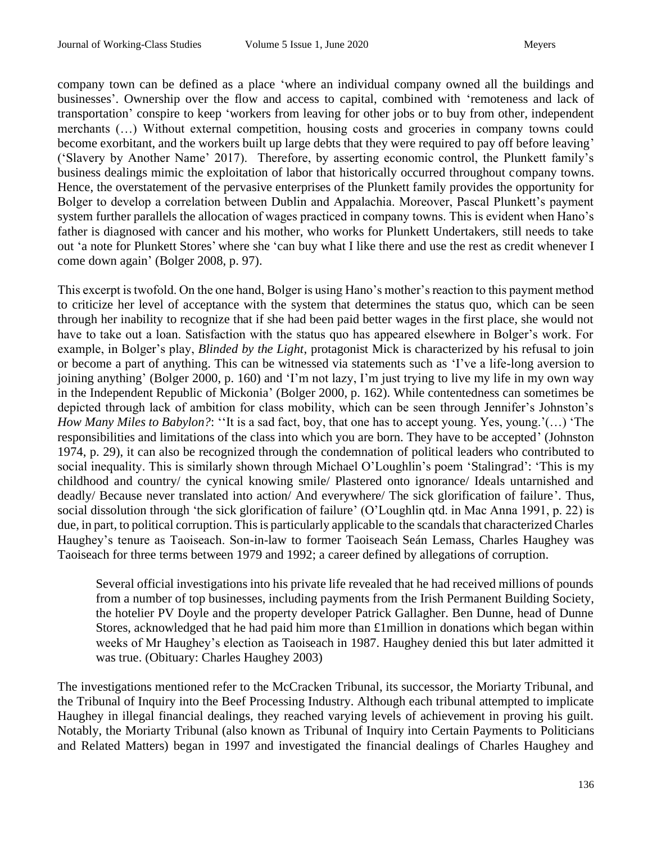company town can be defined as a place 'where an individual company owned all the buildings and businesses'. Ownership over the flow and access to capital, combined with 'remoteness and lack of transportation' conspire to keep 'workers from leaving for other jobs or to buy from other, independent merchants (…) Without external competition, housing costs and groceries in company towns could become exorbitant, and the workers built up large debts that they were required to pay off before leaving' ('Slavery by Another Name' 2017). Therefore, by asserting economic control, the Plunkett family's business dealings mimic the exploitation of labor that historically occurred throughout company towns. Hence, the overstatement of the pervasive enterprises of the Plunkett family provides the opportunity for Bolger to develop a correlation between Dublin and Appalachia. Moreover, Pascal Plunkett's payment system further parallels the allocation of wages practiced in company towns. This is evident when Hano's father is diagnosed with cancer and his mother, who works for Plunkett Undertakers, still needs to take out 'a note for Plunkett Stores' where she 'can buy what I like there and use the rest as credit whenever I come down again' (Bolger 2008, p. 97).

This excerpt is twofold. On the one hand, Bolger is using Hano's mother's reaction to this payment method to criticize her level of acceptance with the system that determines the status quo, which can be seen through her inability to recognize that if she had been paid better wages in the first place, she would not have to take out a loan. Satisfaction with the status quo has appeared elsewhere in Bolger's work. For example, in Bolger's play, *Blinded by the Light*, protagonist Mick is characterized by his refusal to join or become a part of anything. This can be witnessed via statements such as 'I've a life-long aversion to joining anything' (Bolger 2000, p. 160) and 'I'm not lazy, I'm just trying to live my life in my own way in the Independent Republic of Mickonia' (Bolger 2000, p. 162). While contentedness can sometimes be depicted through lack of ambition for class mobility, which can be seen through Jennifer's Johnston's *How Many Miles to Babylon?*: ''It is a sad fact, boy, that one has to accept young. Yes, young.'(…) 'The responsibilities and limitations of the class into which you are born. They have to be accepted' (Johnston 1974, p. 29), it can also be recognized through the condemnation of political leaders who contributed to social inequality. This is similarly shown through Michael O'Loughlin's poem 'Stalingrad': 'This is my childhood and country/ the cynical knowing smile/ Plastered onto ignorance/ Ideals untarnished and deadly/ Because never translated into action/ And everywhere/ The sick glorification of failure'. Thus, social dissolution through 'the sick glorification of failure' (O'Loughlin qtd. in Mac Anna 1991, p. 22) is due, in part, to political corruption. This is particularly applicable to the scandals that characterized Charles Haughey's tenure as Taoiseach. Son-in-law to former Taoiseach Seán Lemass, Charles Haughey was Taoiseach for three terms between 1979 and 1992; a career defined by allegations of corruption.

Several official investigations into his private life revealed that he had received millions of pounds from a number of top businesses, including payments from the Irish Permanent Building Society, the hotelier PV Doyle and the property developer Patrick Gallagher. Ben Dunne, head of Dunne Stores, acknowledged that he had paid him more than £1million in donations which began within weeks of Mr Haughey's election as Taoiseach in 1987. Haughey denied this but later admitted it was true. (Obituary: Charles Haughey 2003)

The investigations mentioned refer to the McCracken Tribunal, its successor, the Moriarty Tribunal, and the Tribunal of Inquiry into the Beef Processing Industry. Although each tribunal attempted to implicate Haughey in illegal financial dealings, they reached varying levels of achievement in proving his guilt. Notably, the Moriarty Tribunal (also known as Tribunal of Inquiry into Certain Payments to Politicians and Related Matters) began in 1997 and investigated the financial dealings of Charles Haughey and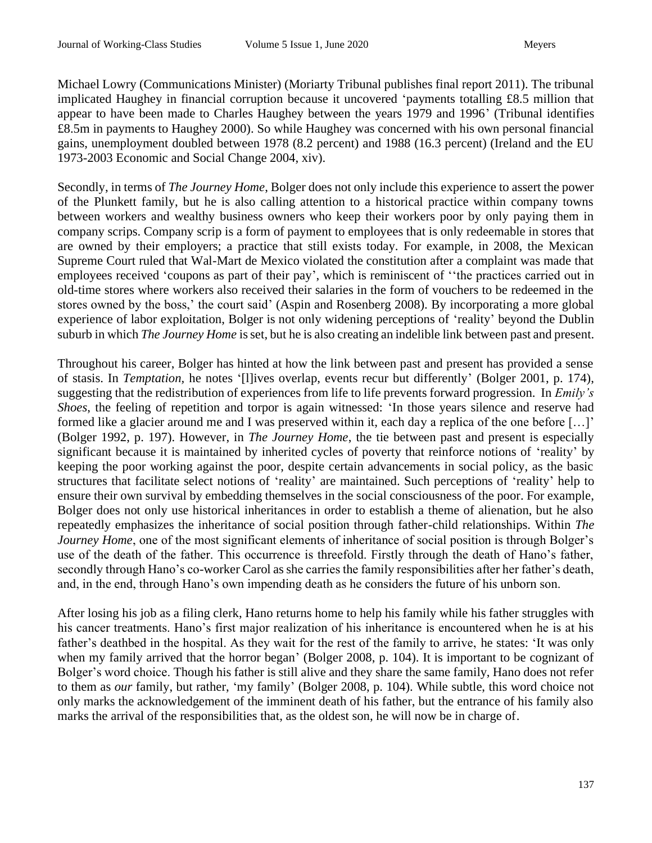Michael Lowry (Communications Minister) (Moriarty Tribunal publishes final report 2011). The tribunal implicated Haughey in financial corruption because it uncovered 'payments totalling £8.5 million that appear to have been made to Charles Haughey between the years 1979 and 1996' (Tribunal identifies £8.5m in payments to Haughey 2000). So while Haughey was concerned with his own personal financial gains, unemployment doubled between 1978 (8.2 percent) and 1988 (16.3 percent) (Ireland and the EU 1973-2003 Economic and Social Change 2004, xiv).

Secondly, in terms of *The Journey Home*, Bolger does not only include this experience to assert the power of the Plunkett family, but he is also calling attention to a historical practice within company towns between workers and wealthy business owners who keep their workers poor by only paying them in company scrips. Company scrip is a form of payment to employees that is only redeemable in stores that are owned by their employers; a practice that still exists today. For example, in 2008, the Mexican Supreme Court ruled that Wal-Mart de Mexico violated the constitution after a complaint was made that employees received 'coupons as part of their pay', which is reminiscent of ''the practices carried out in old-time stores where workers also received their salaries in the form of vouchers to be redeemed in the stores owned by the boss,' the court said' (Aspin and Rosenberg 2008). By incorporating a more global experience of labor exploitation, Bolger is not only widening perceptions of 'reality' beyond the Dublin suburb in which *The Journey Home* is set, but he is also creating an indelible link between past and present.

Throughout his career, Bolger has hinted at how the link between past and present has provided a sense of stasis. In *Temptation,* he notes '[l]ives overlap, events recur but differently' (Bolger 2001, p. 174), suggesting that the redistribution of experiences from life to life prevents forward progression. In *Emily's Shoes*, the feeling of repetition and torpor is again witnessed: 'In those years silence and reserve had formed like a glacier around me and I was preserved within it, each day a replica of the one before […]' (Bolger 1992, p. 197). However, in *The Journey Home*, the tie between past and present is especially significant because it is maintained by inherited cycles of poverty that reinforce notions of 'reality' by keeping the poor working against the poor, despite certain advancements in social policy, as the basic structures that facilitate select notions of 'reality' are maintained. Such perceptions of 'reality' help to ensure their own survival by embedding themselves in the social consciousness of the poor. For example, Bolger does not only use historical inheritances in order to establish a theme of alienation, but he also repeatedly emphasizes the inheritance of social position through father-child relationships. Within *The Journey Home*, one of the most significant elements of inheritance of social position is through Bolger's use of the death of the father. This occurrence is threefold. Firstly through the death of Hano's father, secondly through Hano's co-worker Carol as she carries the family responsibilities after her father's death, and, in the end, through Hano's own impending death as he considers the future of his unborn son.

After losing his job as a filing clerk, Hano returns home to help his family while his father struggles with his cancer treatments. Hano's first major realization of his inheritance is encountered when he is at his father's deathbed in the hospital. As they wait for the rest of the family to arrive, he states: 'It was only when my family arrived that the horror began' (Bolger 2008, p. 104). It is important to be cognizant of Bolger's word choice. Though his father is still alive and they share the same family, Hano does not refer to them as *our* family, but rather, 'my family' (Bolger 2008, p. 104). While subtle, this word choice not only marks the acknowledgement of the imminent death of his father, but the entrance of his family also marks the arrival of the responsibilities that, as the oldest son, he will now be in charge of.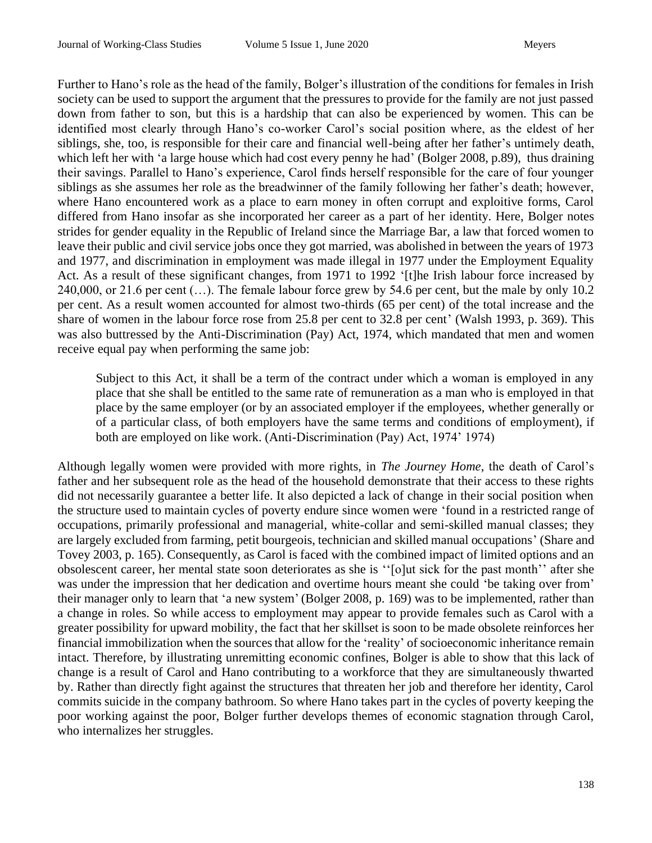Further to Hano's role as the head of the family, Bolger's illustration of the conditions for females in Irish society can be used to support the argument that the pressures to provide for the family are not just passed down from father to son, but this is a hardship that can also be experienced by women. This can be identified most clearly through Hano's co-worker Carol's social position where, as the eldest of her siblings, she, too, is responsible for their care and financial well-being after her father's untimely death, which left her with 'a large house which had cost every penny he had' (Bolger 2008, p.89), thus draining their savings. Parallel to Hano's experience, Carol finds herself responsible for the care of four younger siblings as she assumes her role as the breadwinner of the family following her father's death; however, where Hano encountered work as a place to earn money in often corrupt and exploitive forms, Carol differed from Hano insofar as she incorporated her career as a part of her identity. Here, Bolger notes strides for gender equality in the Republic of Ireland since the Marriage Bar, a law that forced women to leave their public and civil service jobs once they got married, was abolished in between the years of 1973 and 1977, and discrimination in employment was made illegal in 1977 under the Employment Equality Act. As a result of these significant changes, from 1971 to 1992 '[t]he Irish labour force increased by 240,000, or 21.6 per cent (…). The female labour force grew by 54.6 per cent, but the male by only 10.2 per cent. As a result women accounted for almost two-thirds (65 per cent) of the total increase and the share of women in the labour force rose from 25.8 per cent to 32.8 per cent' (Walsh 1993, p. 369). This was also buttressed by the Anti-Discrimination (Pay) Act, 1974, which mandated that men and women receive equal pay when performing the same job:

Subject to this Act, it shall be a term of the contract under which a woman is employed in any place that she shall be entitled to the same rate of remuneration as a man who is employed in that place by the same employer (or by an associated employer if the employees, whether generally or of a particular class, of both employers have the same terms and conditions of employment), if both are employed on like work. (Anti-Discrimination (Pay) Act, 1974' 1974)

Although legally women were provided with more rights, in *The Journey Home*, the death of Carol's father and her subsequent role as the head of the household demonstrate that their access to these rights did not necessarily guarantee a better life. It also depicted a lack of change in their social position when the structure used to maintain cycles of poverty endure since women were 'found in a restricted range of occupations, primarily professional and managerial, white-collar and semi-skilled manual classes; they are largely excluded from farming, petit bourgeois, technician and skilled manual occupations' (Share and Tovey 2003, p. 165). Consequently, as Carol is faced with the combined impact of limited options and an obsolescent career, her mental state soon deteriorates as she is ''[o]ut sick for the past month'' after she was under the impression that her dedication and overtime hours meant she could 'be taking over from' their manager only to learn that 'a new system' (Bolger 2008, p. 169) was to be implemented, rather than a change in roles. So while access to employment may appear to provide females such as Carol with a greater possibility for upward mobility, the fact that her skillset is soon to be made obsolete reinforces her financial immobilization when the sources that allow for the 'reality' of socioeconomic inheritance remain intact. Therefore, by illustrating unremitting economic confines, Bolger is able to show that this lack of change is a result of Carol and Hano contributing to a workforce that they are simultaneously thwarted by. Rather than directly fight against the structures that threaten her job and therefore her identity, Carol commits suicide in the company bathroom. So where Hano takes part in the cycles of poverty keeping the poor working against the poor, Bolger further develops themes of economic stagnation through Carol, who internalizes her struggles.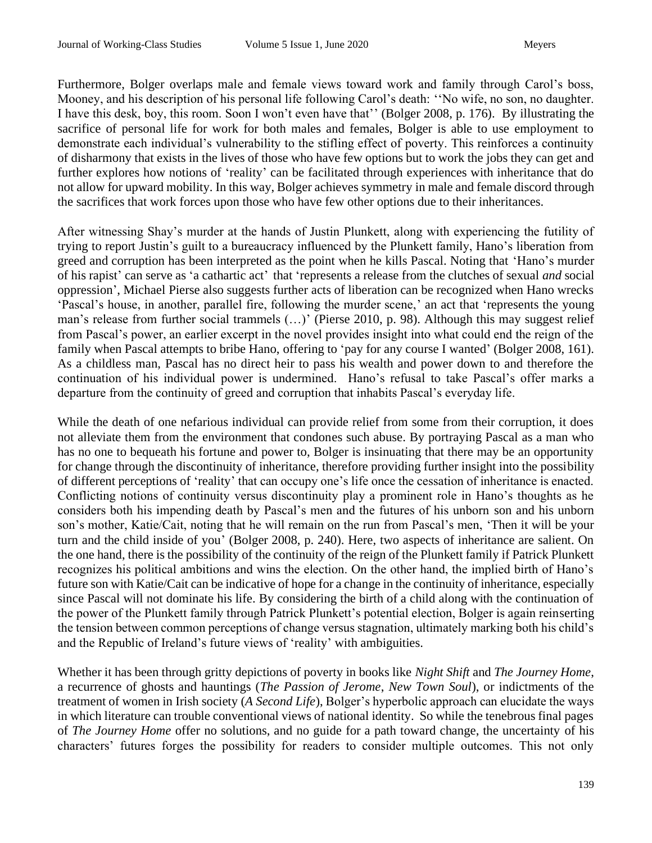Furthermore, Bolger overlaps male and female views toward work and family through Carol's boss, Mooney, and his description of his personal life following Carol's death: ''No wife, no son, no daughter. I have this desk, boy, this room. Soon I won't even have that'' (Bolger 2008, p. 176). By illustrating the sacrifice of personal life for work for both males and females, Bolger is able to use employment to demonstrate each individual's vulnerability to the stifling effect of poverty. This reinforces a continuity of disharmony that exists in the lives of those who have few options but to work the jobs they can get and further explores how notions of 'reality' can be facilitated through experiences with inheritance that do not allow for upward mobility. In this way, Bolger achieves symmetry in male and female discord through the sacrifices that work forces upon those who have few other options due to their inheritances.

After witnessing Shay's murder at the hands of Justin Plunkett, along with experiencing the futility of trying to report Justin's guilt to a bureaucracy influenced by the Plunkett family, Hano's liberation from greed and corruption has been interpreted as the point when he kills Pascal. Noting that 'Hano's murder of his rapist' can serve as 'a cathartic act' that 'represents a release from the clutches of sexual *and* social oppression', Michael Pierse also suggests further acts of liberation can be recognized when Hano wrecks 'Pascal's house, in another, parallel fire, following the murder scene,' an act that 'represents the young man's release from further social trammels (…)' (Pierse 2010, p. 98). Although this may suggest relief from Pascal's power, an earlier excerpt in the novel provides insight into what could end the reign of the family when Pascal attempts to bribe Hano, offering to 'pay for any course I wanted' (Bolger 2008, 161). As a childless man, Pascal has no direct heir to pass his wealth and power down to and therefore the continuation of his individual power is undermined. Hano's refusal to take Pascal's offer marks a departure from the continuity of greed and corruption that inhabits Pascal's everyday life.

While the death of one nefarious individual can provide relief from some from their corruption, it does not alleviate them from the environment that condones such abuse. By portraying Pascal as a man who has no one to bequeath his fortune and power to, Bolger is insinuating that there may be an opportunity for change through the discontinuity of inheritance, therefore providing further insight into the possibility of different perceptions of 'reality' that can occupy one's life once the cessation of inheritance is enacted. Conflicting notions of continuity versus discontinuity play a prominent role in Hano's thoughts as he considers both his impending death by Pascal's men and the futures of his unborn son and his unborn son's mother, Katie/Cait, noting that he will remain on the run from Pascal's men, 'Then it will be your turn and the child inside of you' (Bolger 2008, p. 240). Here, two aspects of inheritance are salient. On the one hand, there is the possibility of the continuity of the reign of the Plunkett family if Patrick Plunkett recognizes his political ambitions and wins the election. On the other hand, the implied birth of Hano's future son with Katie/Cait can be indicative of hope for a change in the continuity of inheritance, especially since Pascal will not dominate his life. By considering the birth of a child along with the continuation of the power of the Plunkett family through Patrick Plunkett's potential election, Bolger is again reinserting the tension between common perceptions of change versus stagnation, ultimately marking both his child's and the Republic of Ireland's future views of 'reality' with ambiguities.

Whether it has been through gritty depictions of poverty in books like *Night Shift* and *The Journey Home*, a recurrence of ghosts and hauntings (*The Passion of Jerome*, *New Town Soul*), or indictments of the treatment of women in Irish society (*A Second Life*), Bolger's hyperbolic approach can elucidate the ways in which literature can trouble conventional views of national identity. So while the tenebrous final pages of *The Journey Home* offer no solutions, and no guide for a path toward change, the uncertainty of his characters' futures forges the possibility for readers to consider multiple outcomes. This not only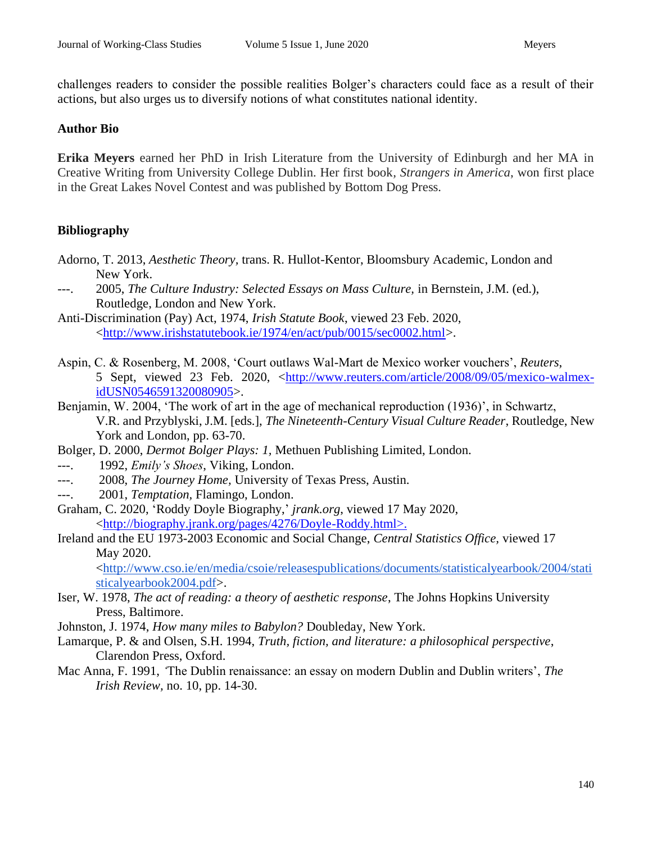challenges readers to consider the possible realities Bolger's characters could face as a result of their actions, but also urges us to diversify notions of what constitutes national identity.

#### **Author Bio**

**Erika Meyers** earned her PhD in Irish Literature from the University of Edinburgh and her MA in Creative Writing from University College Dublin. Her first book*, Strangers in America*, won first place in the Great Lakes Novel Contest and was published by Bottom Dog Press.

## **Bibliography**

- Adorno, T. 2013, *Aesthetic Theory,* trans. R. Hullot-Kentor, Bloomsbury Academic, London and New York.
- ---. 2005, *The Culture Industry: Selected Essays on Mass Culture,* in Bernstein, J.M. (ed.), Routledge, London and New York.
- Anti-Discrimination (Pay) Act, 1974, *Irish Statute Book*, viewed 23 Feb. 2020, [<http://www.irishstatutebook.ie/1974/en/act/pub/0015/sec0002.html>](http://www.irishstatutebook.ie/1974/en/act/pub/0015/sec0002.html).
- Aspin, C. & Rosenberg, M. 2008, 'Court outlaws Wal-Mart de Mexico worker vouchers', *Reuters*, 5 Sept, viewed 23 Feb. 2020, [<http://www.reuters.com/article/2008/09/05/mexico-walmex](http://www.reuters.com/article/2008/09/05/mexico-walmex-idUSN0546591320080905)[idUSN0546591320080905>](http://www.reuters.com/article/2008/09/05/mexico-walmex-idUSN0546591320080905).
- Benjamin, W. 2004, 'The work of art in the age of mechanical reproduction (1936)', in Schwartz, V.R. and Przyblyski, J.M. [eds.], *The Nineteenth-Century Visual Culture Reader*, Routledge, New York and London, pp. 63-70.
- Bolger, D. 2000, *Dermot Bolger Plays: 1,* Methuen Publishing Limited, London.
- ---. 1992, *Emily's Shoes*, Viking, London.
- ---. 2008, *The Journey Home,* University of Texas Press, Austin.
- ---. 2001, *Temptation,* Flamingo, London.
- Graham, C. 2020, 'Roddy Doyle Biography,' *jrank.org*, viewed 17 May 2020, [<http://biography.jrank.org/pages/4276/Doyle-Roddy.html>.](http://biography.jrank.org/pages/4276/Doyle-Roddy.html%3e.)
- Ireland and the EU 1973-2003 Economic and Social Change, *Central Statistics Office,* viewed 17 May 2020.

<http://www.cso.ie/en/media/csoie/releasespublications/documents/statisticalyearbook/2004/stati sticalyearbook2004.pdf>.

- Iser, W. 1978, *The act of reading: a theory of aesthetic response*, The Johns Hopkins University Press, Baltimore.
- Johnston, J. 1974, *How many miles to Babylon?* Doubleday, New York.
- Lamarque, P. & and Olsen, S.H. 1994, *Truth, fiction, and literature: a philosophical perspective*, Clarendon Press, Oxford.
- Mac Anna, F. 1991, *'*The Dublin renaissance: an essay on modern Dublin and Dublin writers', *The Irish Review,* no. 10, pp. 14-30.